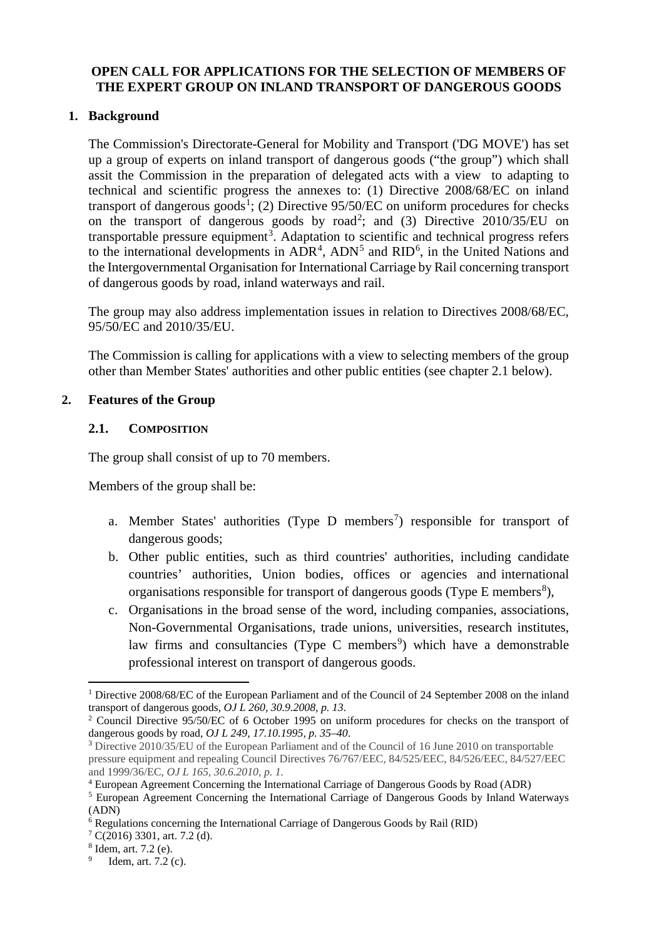# **OPEN CALL FOR APPLICATIONS FOR THE SELECTION OF MEMBERS OF THE EXPERT GROUP ON INLAND TRANSPORT OF DANGEROUS GOODS**

# **1. Background**

The Commission's Directorate-General for Mobility and Transport ('DG MOVE') has set up a group of experts on inland transport of dangerous goods ("the group") which shall assit the Commission in the preparation of delegated acts with a view to adapting to technical and scientific progress the annexes to: (1) Directive 2008/68/EC on inland transport of dangerous  $goods<sup>1</sup>$  $goods<sup>1</sup>$  $goods<sup>1</sup>$ ; (2) Directive 95/50/EC on uniform procedures for checks on the transport of dangerous goods by road<sup>[2](#page-0-1)</sup>; and (3) Directive  $2010/35/EU$  on transportable pressure equipment<sup>[3](#page-0-2)</sup>. Adaptation to scientific and technical progress refers to the international developments in  $ADR<sup>4</sup>$  $ADR<sup>4</sup>$  $ADR<sup>4</sup>$ ,  $ADN<sup>5</sup>$  $ADN<sup>5</sup>$  $ADN<sup>5</sup>$  and  $RID<sup>6</sup>$  $RID<sup>6</sup>$  $RID<sup>6</sup>$ , in the United Nations and the Intergovernmental Organisation for International Carriage by Rail concerning transport of dangerous goods by road, inland waterways and rail.

The group may also address implementation issues in relation to Directives 2008/68/EC, 95/50/EC and 2010/35/EU.

The Commission is calling for applications with a view to selecting members of the group other than Member States' authorities and other public entities (see chapter 2.1 below).

### **2. Features of the Group**

### **2.1. COMPOSITION**

The group shall consist of up to 70 members.

Members of the group shall be:

- a. Member States' authorities (Type  $D$  members<sup>[7](#page-0-6)</sup>) responsible for transport of dangerous goods;
- b. Other public entities, such as third countries' authorities, including candidate countries' authorities, Union bodies, offices or agencies and international organisations responsible for transport of dangerous goods (Type E members<sup>[8](#page-0-7)</sup>),
- c. Organisations in the broad sense of the word, including companies, associations, Non-Governmental Organisations, trade unions, universities, research institutes, law firms and consultancies (Type C members<sup>[9](#page-0-8)</sup>) which have a demonstrable professional interest on transport of dangerous goods.

<span id="page-0-0"></span> <sup>1</sup> Directive 2008/68/EC of the European Parliament and of the Council of 24 September 2008 on the inland transport of dangerous goods, *OJ L 260, 30.9.2008, p. 13*. <sup>2</sup> Council Directive 95/50/EC of 6 October 1995 on uniform procedures for checks on the transport of

<span id="page-0-1"></span>dangerous goods by road, *OJ L 249, 17.10.1995, p. 35–40*.

<span id="page-0-2"></span><sup>3</sup> Directive 2010/35/EU of the European Parliament and of the Council of 16 June 2010 on transportable pressure equipment and repealing Council Directives 76/767/EEC, 84/525/EEC, 84/526/EEC, 84/527/EEC and 1999/36/EC, *OJ L 165, 30.6.2010, p. 1.*

<span id="page-0-3"></span><sup>4</sup> European Agreement Concerning the International Carriage of Dangerous Goods by Road (ADR)

<span id="page-0-4"></span><sup>5</sup> European Agreement Concerning the International Carriage of Dangerous Goods by Inland Waterways (ADN)

<span id="page-0-6"></span><span id="page-0-5"></span><sup>&</sup>lt;sup>6</sup> Regulations concerning the International Carriage of Dangerous Goods by Rail (RID)  $\frac{7}{2}$  C(2016) 3301, art. 7.2 (d).

<span id="page-0-7"></span> $^{8}$  Idem, art. 7.2 (e).

<span id="page-0-8"></span>Idem, art. 7.2 (c).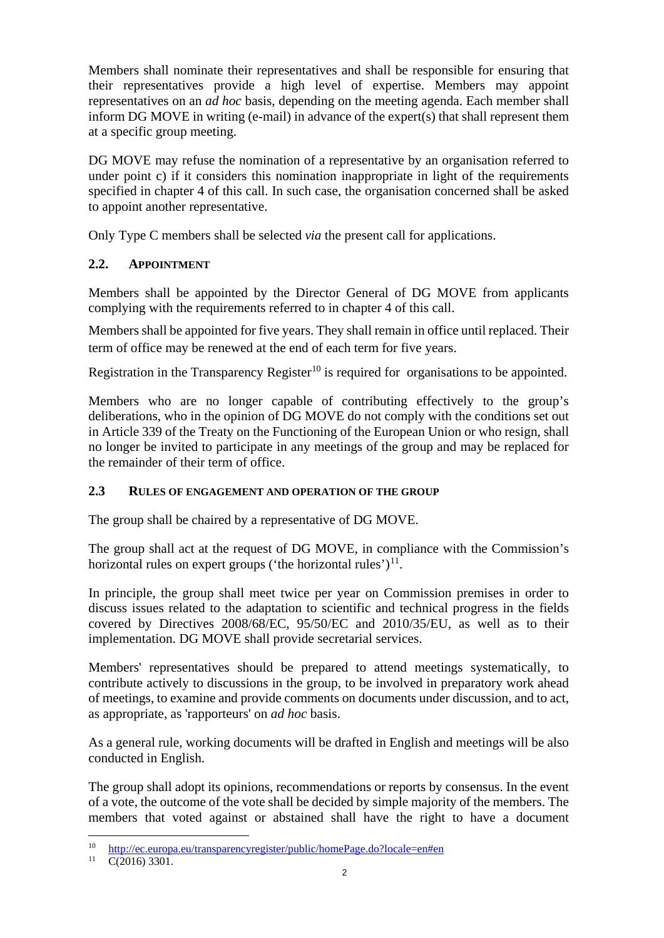Members shall nominate their representatives and shall be responsible for ensuring that their representatives provide a high level of expertise. Members may appoint representatives on an *ad hoc* basis, depending on the meeting agenda. Each member shall inform DG MOVE in writing (e-mail) in advance of the expert(s) that shall represent them at a specific group meeting.

DG MOVE may refuse the nomination of a representative by an organisation referred to under point c) if it considers this nomination inappropriate in light of the requirements specified in chapter 4 of this call. In such case, the organisation concerned shall be asked to appoint another representative.

Only Type C members shall be selected *via* the present call for applications.

# **2.2. APPOINTMENT**

Members shall be appointed by the Director General of DG MOVE from applicants complying with the requirements referred to in chapter 4 of this call.

Members shall be appointed for five years. They shall remain in office until replaced. Their term of office may be renewed at the end of each term for five years.

Registration in the Transparency Register<sup>[10](#page-1-0)</sup> is required for organisations to be appointed.

Members who are no longer capable of contributing effectively to the group's deliberations, who in the opinion of DG MOVE do not comply with the conditions set out in Article 339 of the Treaty on the Functioning of the European Union or who resign, shall no longer be invited to participate in any meetings of the group and may be replaced for the remainder of their term of office.

# **2.3 RULES OF ENGAGEMENT AND OPERATION OF THE GROUP**

The group shall be chaired by a representative of DG MOVE.

The group shall act at the request of DG MOVE, in compliance with the Commission's horizontal rules on expert groups ('the horizontal rules') $^{11}$  $^{11}$  $^{11}$ .

In principle, the group shall meet twice per year on Commission premises in order to discuss issues related to the adaptation to scientific and technical progress in the fields covered by Directives 2008/68/EC, 95/50/EC and 2010/35/EU, as well as to their implementation. DG MOVE shall provide secretarial services.

Members' representatives should be prepared to attend meetings systematically, to contribute actively to discussions in the group, to be involved in preparatory work ahead of meetings, to examine and provide comments on documents under discussion, and to act, as appropriate, as 'rapporteurs' on *ad hoc* basis.

As a general rule, working documents will be drafted in English and meetings will be also conducted in English.

The group shall adopt its opinions, recommendations or reports by consensus. In the event of a vote, the outcome of the vote shall be decided by simple majority of the members. The members that voted against or abstained shall have the right to have a document

<span id="page-1-0"></span><sup>&</sup>lt;sup>10</sup> <http://ec.europa.eu/transparencyregister/public/homePage.do?locale=en#en><br><sup>11</sup> C(2016) 3301

<span id="page-1-1"></span> $C(2016)$  3301.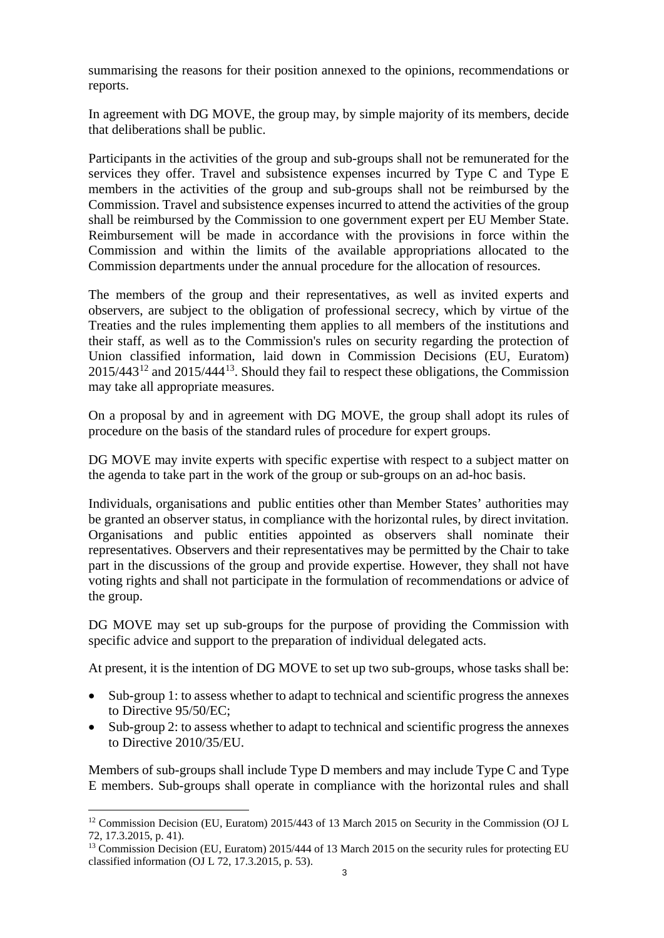summarising the reasons for their position annexed to the opinions, recommendations or reports.

In agreement with DG MOVE, the group may, by simple majority of its members, decide that deliberations shall be public.

Participants in the activities of the group and sub-groups shall not be remunerated for the services they offer. Travel and subsistence expenses incurred by Type C and Type E members in the activities of the group and sub-groups shall not be reimbursed by the Commission. Travel and subsistence expenses incurred to attend the activities of the group shall be reimbursed by the Commission to one government expert per EU Member State. Reimbursement will be made in accordance with the provisions in force within the Commission and within the limits of the available appropriations allocated to the Commission departments under the annual procedure for the allocation of resources.

The members of the group and their representatives, as well as invited experts and observers, are subject to the obligation of professional secrecy, which by virtue of the Treaties and the rules implementing them applies to all members of the institutions and their staff, as well as to the Commission's rules on security regarding the protection of Union classified information, laid down in Commission Decisions (EU, Euratom) 2015/443[12](#page-2-0) and 2015/444[13](#page-2-1). Should they fail to respect these obligations, the Commission may take all appropriate measures.

On a proposal by and in agreement with DG MOVE, the group shall adopt its rules of procedure on the basis of the standard rules of procedure for expert groups.

DG MOVE may invite experts with specific expertise with respect to a subject matter on the agenda to take part in the work of the group or sub-groups on an ad-hoc basis.

Individuals, organisations and public entities other than Member States' authorities may be granted an observer status, in compliance with the horizontal rules, by direct invitation. Organisations and public entities appointed as observers shall nominate their representatives. Observers and their representatives may be permitted by the Chair to take part in the discussions of the group and provide expertise. However, they shall not have voting rights and shall not participate in the formulation of recommendations or advice of the group.

DG MOVE may set up sub-groups for the purpose of providing the Commission with specific advice and support to the preparation of individual delegated acts.

At present, it is the intention of DG MOVE to set up two sub-groups, whose tasks shall be:

- Sub-group 1: to assess whether to adapt to technical and scientific progress the annexes to Directive 95/50/EC;
- Sub-group 2: to assess whether to adapt to technical and scientific progress the annexes to Directive 2010/35/EU.

Members of sub-groups shall include Type D members and may include Type C and Type E members. Sub-groups shall operate in compliance with the horizontal rules and shall

<span id="page-2-0"></span><sup>&</sup>lt;sup>12</sup> Commission Decision (EU, Euratom) 2015/443 of 13 March 2015 on Security in the Commission (OJ L 72, 17.3.2015, p. 41).

<span id="page-2-1"></span><sup>&</sup>lt;sup>13</sup> Commission Decision (EU, Euratom) 2015/444 of 13 March 2015 on the security rules for protecting EU classified information (OJ L 72, 17.3.2015, p. 53).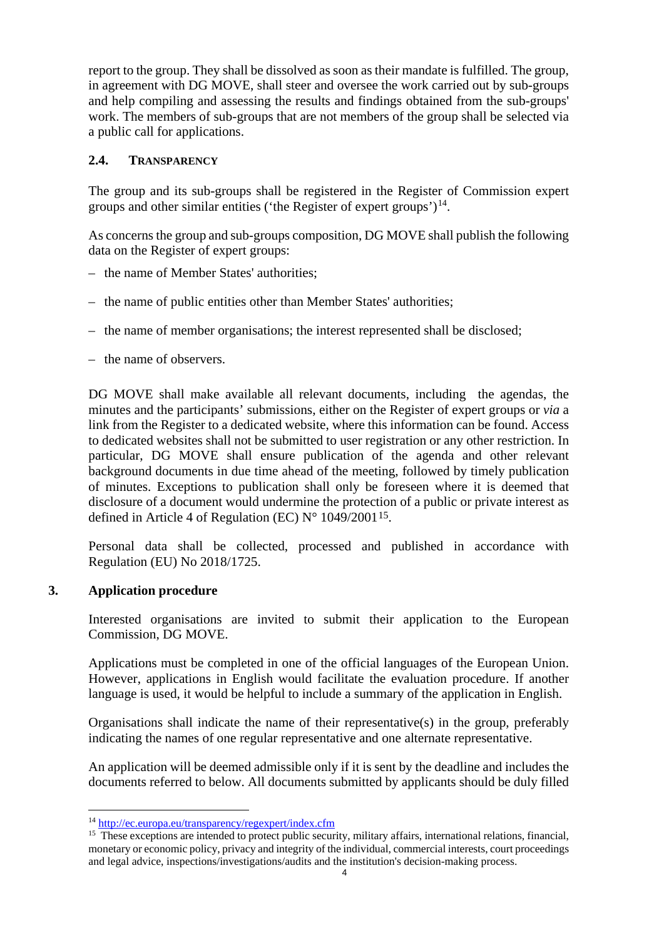report to the group. They shall be dissolved as soon as their mandate is fulfilled. The group, in agreement with DG MOVE, shall steer and oversee the work carried out by sub-groups and help compiling and assessing the results and findings obtained from the sub-groups' work. The members of sub-groups that are not members of the group shall be selected via a public call for applications.

# **2.4. TRANSPARENCY**

The group and its sub-groups shall be registered in the Register of Commission expert groups and other similar entities ('the Register of expert groups') $^{14}$ .

As concerns the group and sub-groups composition, DG MOVE shall publish the following data on the Register of expert groups:

- the name of Member States' authorities;
- the name of public entities other than Member States' authorities;
- the name of member organisations; the interest represented shall be disclosed;
- the name of observers.

DG MOVE shall make available all relevant documents, including the agendas, the minutes and the participants' submissions, either on the Register of expert groups or *via* a link from the Register to a dedicated website, where this information can be found. Access to dedicated websites shall not be submitted to user registration or any other restriction. In particular, DG MOVE shall ensure publication of the agenda and other relevant background documents in due time ahead of the meeting, followed by timely publication of minutes. Exceptions to publication shall only be foreseen where it is deemed that disclosure of a document would undermine the protection of a public or private interest as defined in Article 4 of Regulation (EC)  $N^{\circ}$  1049/2001<sup>[15](#page-3-1)</sup>.

Personal data shall be collected, processed and published in accordance with Regulation (EU) No 2018/1725.

# **3. Application procedure**

Interested organisations are invited to submit their application to the European Commission, DG MOVE.

Applications must be completed in one of the official languages of the European Union. However, applications in English would facilitate the evaluation procedure. If another language is used, it would be helpful to include a summary of the application in English.

Organisations shall indicate the name of their representative(s) in the group, preferably indicating the names of one regular representative and one alternate representative.

An application will be deemed admissible only if it is sent by the deadline and includes the documents referred to below. All documents submitted by applicants should be duly filled

<span id="page-3-0"></span> <sup>14</sup> <http://ec.europa.eu/transparency/regexpert/index.cfm>

<span id="page-3-1"></span><sup>&</sup>lt;sup>15</sup> These exceptions are intended to protect public security, military affairs, international relations, financial, monetary or economic policy, privacy and integrity of the individual, commercial interests, court proceedings and legal advice, inspections/investigations/audits and the institution's decision-making process.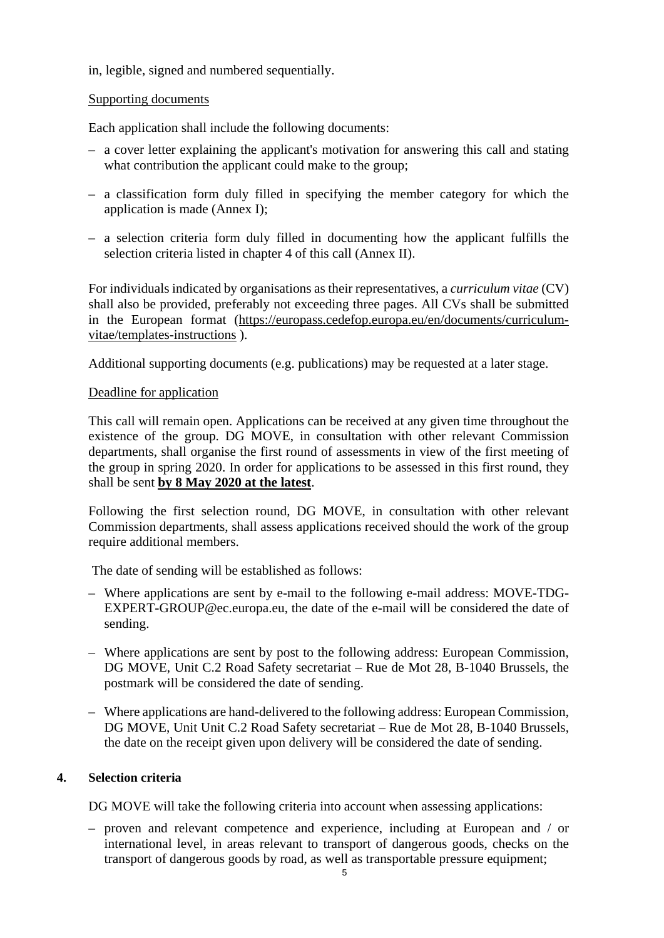# in, legible, signed and numbered sequentially.

### Supporting documents

Each application shall include the following documents:

- a cover letter explaining the applicant's motivation for answering this call and stating what contribution the applicant could make to the group;
- a classification form duly filled in specifying the member category for which the application is made (Annex I);
- a selection criteria form duly filled in documenting how the applicant fulfills the selection criteria listed in chapter 4 of this call (Annex II).

For individuals indicated by organisations as their representatives, a *curriculum vitae* (CV) shall also be provided, preferably not exceeding three pages. All CVs shall be submitted in the European format [\(https://europass.cedefop.europa.eu/en/documents/curriculum](https://europass.cedefop.europa.eu/en/documents/curriculum-vitae/templates-instructions)[vitae/templates-instructions](https://europass.cedefop.europa.eu/en/documents/curriculum-vitae/templates-instructions) ).

Additional supporting documents (e.g. publications) may be requested at a later stage.

### Deadline for application

This call will remain open. Applications can be received at any given time throughout the existence of the group. DG MOVE, in consultation with other relevant Commission departments, shall organise the first round of assessments in view of the first meeting of the group in spring 2020. In order for applications to be assessed in this first round, they shall be sent **by 8 May 2020 at the latest**.

Following the first selection round, DG MOVE, in consultation with other relevant Commission departments, shall assess applications received should the work of the group require additional members.

The date of sending will be established as follows:

- Where applications are sent by e-mail to the following e-mail address: MOVE-TDG-EXPERT-GROUP@ec.europa.eu, the date of the e-mail will be considered the date of sending.
- Where applications are sent by post to the following address: European Commission, DG MOVE, Unit C.2 Road Safety secretariat – Rue de Mot 28, B-1040 Brussels, the postmark will be considered the date of sending.
- Where applications are hand-delivered to the following address: European Commission, DG MOVE, Unit Unit C.2 Road Safety secretariat – Rue de Mot 28, B-1040 Brussels, the date on the receipt given upon delivery will be considered the date of sending.

# **4. Selection criteria**

DG MOVE will take the following criteria into account when assessing applications:

– proven and relevant competence and experience, including at European and / or international level, in areas relevant to transport of dangerous goods, checks on the transport of dangerous goods by road, as well as transportable pressure equipment;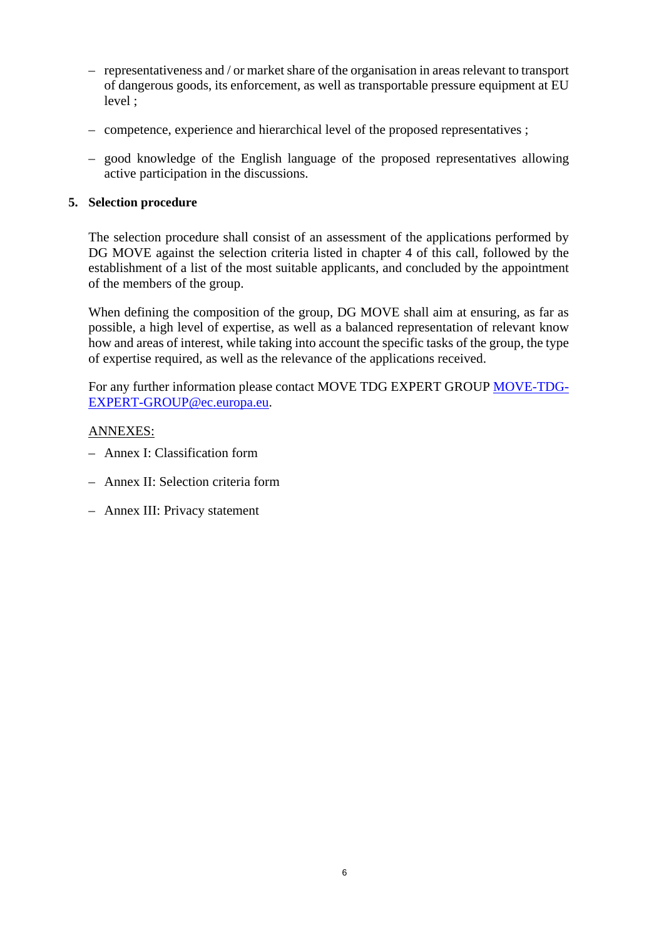- representativeness and / or market share of the organisation in areas relevant to transport of dangerous goods, its enforcement, as well as transportable pressure equipment at EU level ;
- competence, experience and hierarchical level of the proposed representatives ;
- good knowledge of the English language of the proposed representatives allowing active participation in the discussions.

## **5. Selection procedure**

The selection procedure shall consist of an assessment of the applications performed by DG MOVE against the selection criteria listed in chapter 4 of this call, followed by the establishment of a list of the most suitable applicants, and concluded by the appointment of the members of the group.

When defining the composition of the group, DG MOVE shall aim at ensuring, as far as possible, a high level of expertise, as well as a balanced representation of relevant know how and areas of interest, while taking into account the specific tasks of the group, the type of expertise required, as well as the relevance of the applications received.

For any further information please contact MOVE TDG EXPERT GROUP [MOVE-TDG-](mailto:MOVE-TDG-EXPERT-GROUP@ec.europa.eu)[EXPERT-GROUP@ec.europa.eu.](mailto:MOVE-TDG-EXPERT-GROUP@ec.europa.eu)

# ANNEXES:

- Annex I: Classification form
- Annex II: Selection criteria form
- Annex III: Privacy statement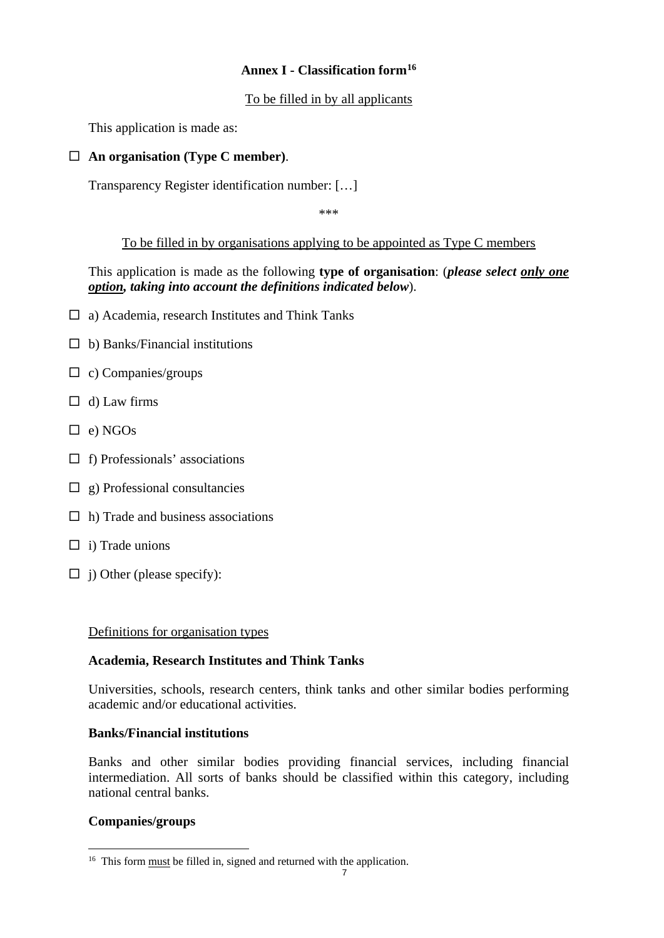# **Annex I - Classification form[16](#page-6-0)**

# To be filled in by all applicants

This application is made as:

# **An organisation (Type C member)**.

Transparency Register identification number: […]

\*\*\*

# To be filled in by organisations applying to be appointed as Type C members

This application is made as the following **type of organisation**: (*please select only one option, taking into account the definitions indicated below*).

- $\Box$  a) Academia, research Institutes and Think Tanks
- $\Box$  b) Banks/Financial institutions
- $\Box$  c) Companies/groups
- $\Box$  d) Law firms
- $\Box$  e) NGOs
- $\Box$  f) Professionals' associations
- $\Box$  g) Professional consultancies
- $\Box$  h) Trade and business associations
- $\Box$  i) Trade unions
- $\Box$  j) Other (please specify):

### Definitions for organisation types

### **Academia, Research Institutes and Think Tanks**

Universities, schools, research centers, think tanks and other similar bodies performing academic and/or educational activities.

### **Banks/Financial institutions**

Banks and other similar bodies providing financial services, including financial intermediation. All sorts of banks should be classified within this category, including national central banks.

### **Companies/groups**

<span id="page-6-0"></span><sup>&</sup>lt;sup>16</sup> This form <u>must</u> be filled in, signed and returned with the application.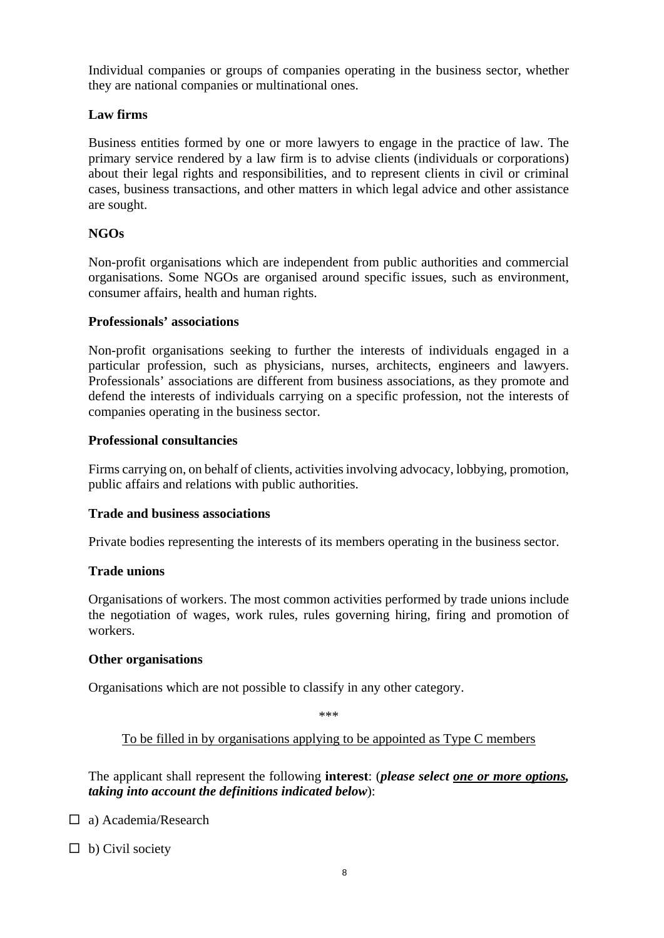Individual companies or groups of companies operating in the business sector, whether they are national companies or multinational ones.

# **Law firms**

Business entities formed by one or more lawyers to engage in the practice of law. The primary service rendered by a law firm is to advise clients (individuals or corporations) about their legal rights and responsibilities, and to represent clients in civil or criminal cases, business transactions, and other matters in which legal advice and other assistance are sought.

# **NGOs**

Non-profit organisations which are independent from public authorities and commercial organisations. Some NGOs are organised around specific issues, such as environment, consumer affairs, health and human rights.

### **Professionals' associations**

Non-profit organisations seeking to further the interests of individuals engaged in a particular profession, such as physicians, nurses, architects, engineers and lawyers. Professionals' associations are different from business associations, as they promote and defend the interests of individuals carrying on a specific profession, not the interests of companies operating in the business sector.

### **Professional consultancies**

Firms carrying on, on behalf of clients, activities involving advocacy, lobbying, promotion, public affairs and relations with public authorities.

### **Trade and business associations**

Private bodies representing the interests of its members operating in the business sector.

### **Trade unions**

Organisations of workers. The most common activities performed by trade unions include the negotiation of [wages,](https://en.wikipedia.org/wiki/Wage) work rules, rules governing hiring, firing and promotion of workers.

### **Other organisations**

Organisations which are not possible to classify in any other category.

\*\*\*

To be filled in by organisations applying to be appointed as Type C members

The applicant shall represent the following **interest**: (*please select one or more options, taking into account the definitions indicated below*):

□ a) Academia/Research

 $\Box$  b) Civil society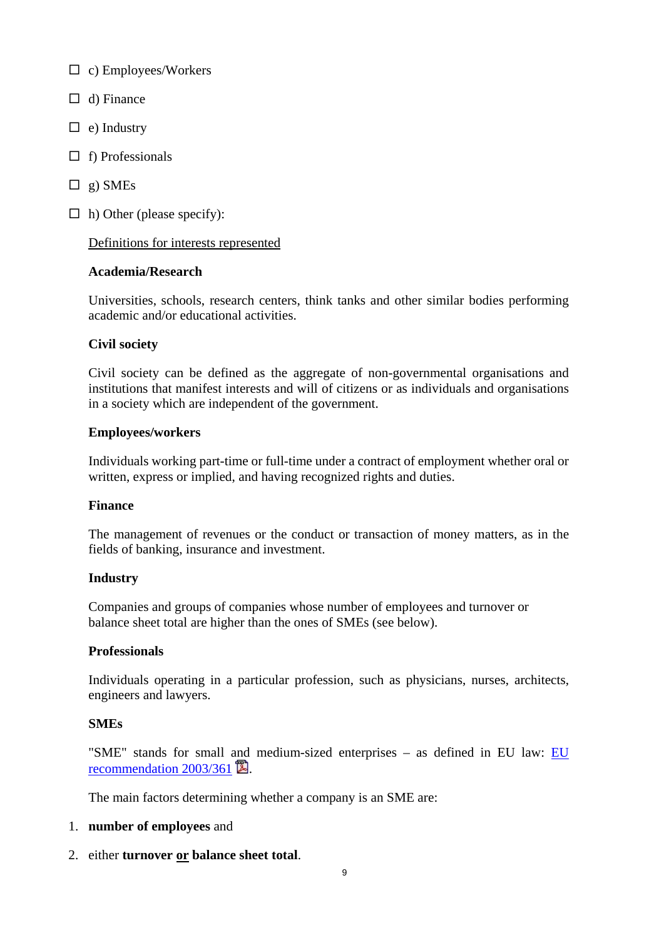$\Box$  c) Employees/Workers

- $\Box$  d) Finance
- $\Box$  e) Industry
- $\Box$  f) Professionals
- $\Box$  g) SMEs
- $\Box$  h) Other (please specify):

### Definitions for interests represented

### **Academia/Research**

Universities, schools, research centers, think tanks and other similar bodies performing academic and/or educational activities.

# **Civil society**

Civil society can be defined as the aggregate of non-governmental organisations and institutions that manifest interests and will of citizens or as individuals and organisations in a society which are independent of the government.

### **Employees/workers**

Individuals working part-time or full-time under a contract of employment whether oral or written, express or implied, and having recognized rights and duties.

### **Finance**

The management of revenues or the conduct or transaction of money matters, as in the fields of banking, insurance and investment.

### **Industry**

Companies and groups of companies whose number of employees and turnover or balance sheet total are higher than the ones of SMEs (see below).

### **Professionals**

Individuals operating in a particular profession, such as physicians, nurses, architects, engineers and lawyers.

### **SMEs**

"SME" stands for small and medium-sized enterprises – as defined in EU law: [EU](http://eur-lex.europa.eu/LexUriServ/LexUriServ.do?uri=OJ:L:2003:124:0036:0041:EN:PDF)  recommendation  $2003/361$   $\mathbb{Z}$ .

The main factors determining whether a company is an SME are:

### 1. **number of employees** and

2. either **turnover or balance sheet total**.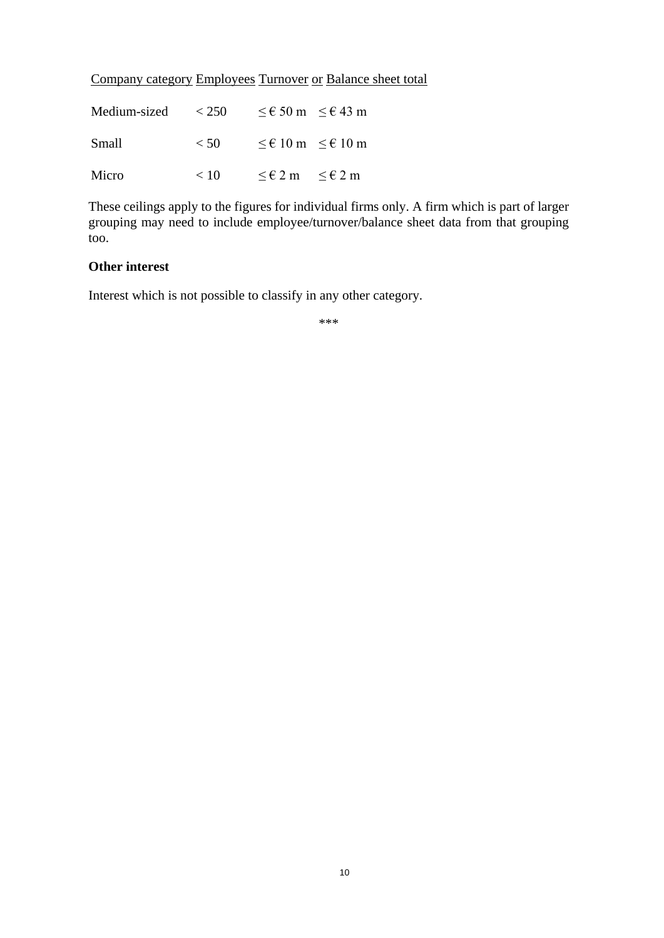|  |  |  | <b>Company category Employees Turnover or Balance sheet total</b> |
|--|--|--|-------------------------------------------------------------------|
|--|--|--|-------------------------------------------------------------------|

| Medium-sized | < 250 | $\leq \epsilon$ 50 m $\leq \epsilon$ 43 m |  |
|--------------|-------|-------------------------------------------|--|
| Small        | < 50  | $\leq \epsilon$ 10 m $\leq \epsilon$ 10 m |  |
| Micro        | < 10  | $\leq \epsilon 2$ m $\leq \epsilon 2$ m   |  |

These ceilings apply to the figures for individual firms only. A firm which is part of larger grouping may need to include employee/turnover/balance sheet data from that grouping too.

# **Other interest**

Interest which is not possible to classify in any other category.

\*\*\*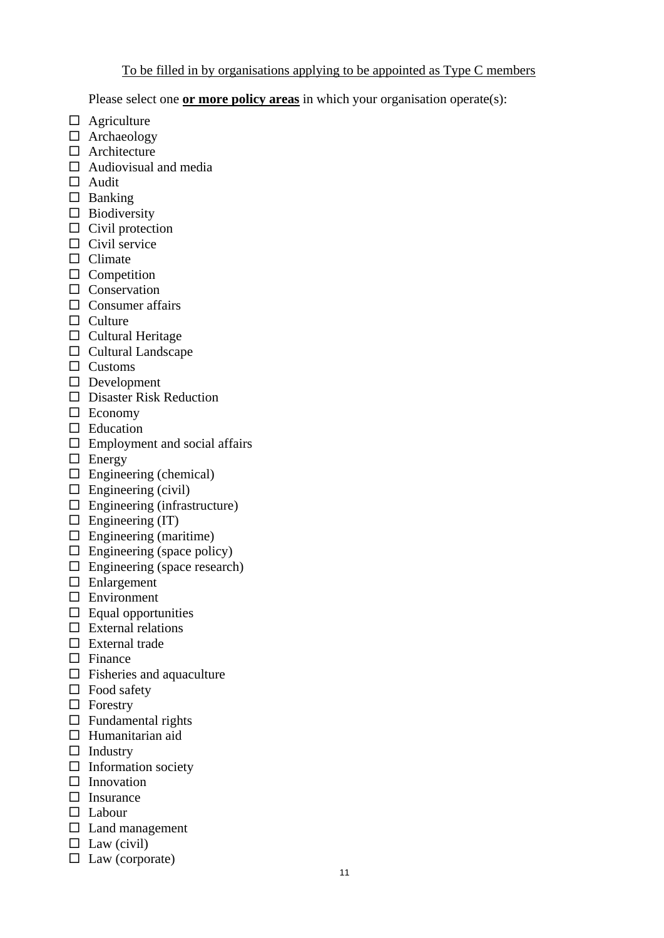# To be filled in by organisations applying to be appointed as Type C members

Please select one **or more policy areas** in which your organisation operate(s):

- $\Box$  Agriculture
- □ Archaeology
- $\Box$  Architecture
- $\Box$  Audiovisual and media
- □ Audit
- $\square$  Banking
- $\square$  Biodiversity
- $\Box$  Civil protection
- $\Box$  Civil service
- $\Box$  Climate
- $\square$  Competition
- $\Box$  Conservation
- $\Box$  Consumer affairs
- $\Box$  Culture
- $\Box$  Cultural Heritage
- $\Box$  Cultural Landscape
- □ Customs
- Development
- $\Box$  Disaster Risk Reduction
- Economy
- $\Box$  Education
- $\square$  Employment and social affairs
- $\Box$  Energy
- $\Box$  Engineering (chemical)
- $\square$  Engineering (civil)
- $\Box$  Engineering (infrastructure)
- $\Box$  Engineering (IT)
- $\Box$  Engineering (maritime)
- $\Box$  Engineering (space policy)
- $\Box$  Engineering (space research)
- $\Box$  Enlargement
- □ Environment
- $\Box$  Equal opportunities
- $\square$  External relations
- $\square$  External trade
- $\Box$  Finance
- $\Box$  Fisheries and aquaculture
- $\Box$  Food safety
- $\Box$  Forestry
- $\Box$  Fundamental rights
- $\Box$  Humanitarian aid
- $\Box$  Industry
- $\Box$  Information society
- $\square$  Innovation
- $\square$  Insurance
- Labour
- $\square$  Land management
- $\Box$  Law (civil)
- $\Box$  Law (corporate)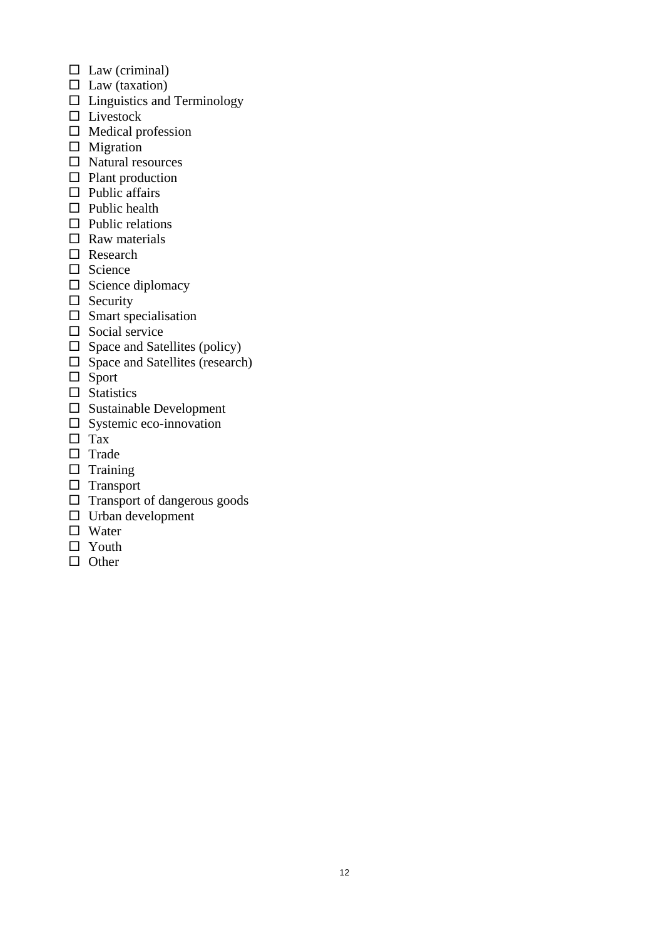- $\Box$  Law (criminal)
- $\Box$  Law (taxation)
- $\square$  Linguistics and Terminology
- $\square$  Livestock
- $\Box$  Medical profession
- $\Box$  Migration
- $\square$  Natural resources
- $\Box$  Plant production
- $\Box$  Public affairs
- $\square$  Public health
- $\Box$  Public relations
- $\Box$  Raw materials
- □ Research
- $\Box$  Science
- $\square$  Science diplomacy
- $\Box$  Security
- $\square$  Smart specialisation
- $\square$  Social service
- $\square$  Space and Satellites (policy)
- $\Box$  Space and Satellites (research)
- $\Box$  Sport
- $\square$  Statistics
- $\square$  Sustainable Development
- $\square$  Systemic eco-innovation
- □ Tax
- $\square$  Trade
- $\square$  Training
- $\Box$  Transport
- $\Box$  Transport of dangerous goods
- $\square$  Urban development
- □ Water
- $\Box$  Youth
- $\Box$  Other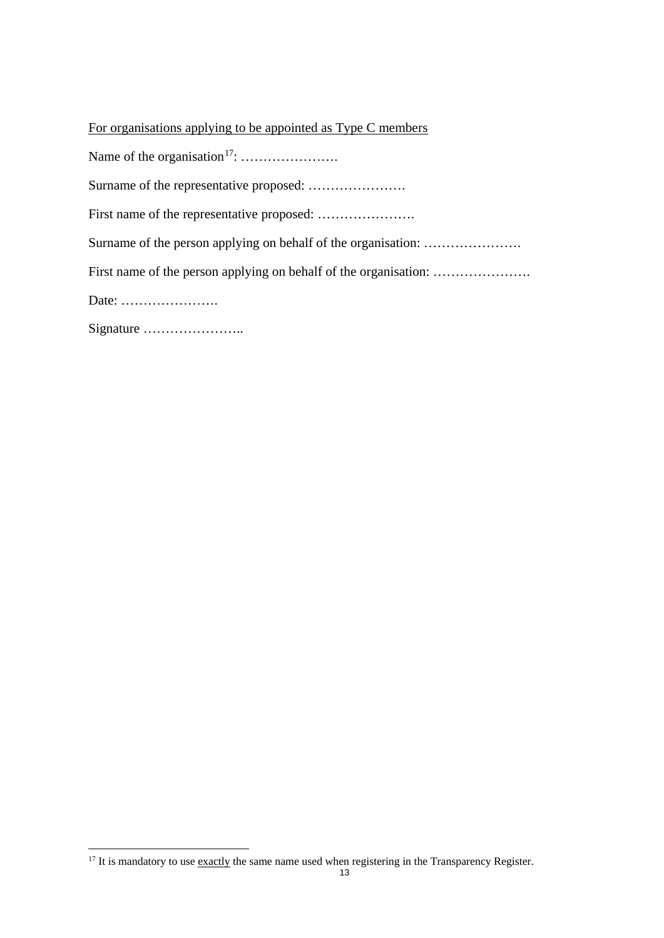| For organisations applying to be appointed as Type C members     |  |  |
|------------------------------------------------------------------|--|--|
|                                                                  |  |  |
|                                                                  |  |  |
|                                                                  |  |  |
|                                                                  |  |  |
| First name of the person applying on behalf of the organisation: |  |  |
| Date: $\dots\dots\dots\dots\dots\dots\dots\dots\dots$            |  |  |
|                                                                  |  |  |

<span id="page-12-0"></span> $\frac{17}{17}$  It is mandatory to use exactly the same name used when registering in the Transparency Register.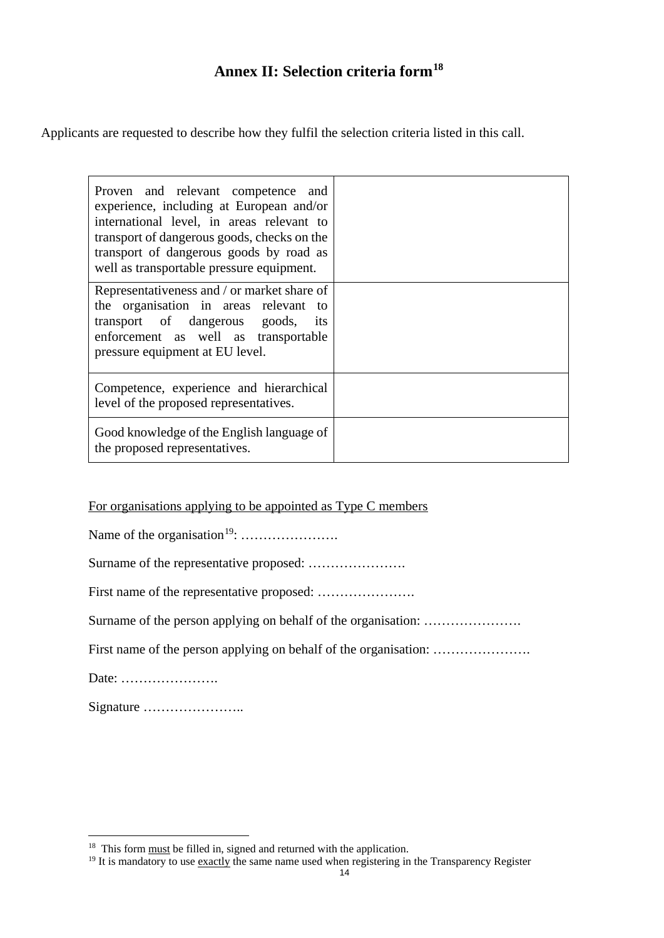# **Annex II: Selection criteria form[18](#page-13-0)**

Applicants are requested to describe how they fulfil the selection criteria listed in this call.

| Proven and relevant competence and<br>experience, including at European and/or<br>international level, in areas relevant to<br>transport of dangerous goods, checks on the<br>transport of dangerous goods by road as<br>well as transportable pressure equipment. |  |
|--------------------------------------------------------------------------------------------------------------------------------------------------------------------------------------------------------------------------------------------------------------------|--|
| Representativeness and / or market share of<br>the organisation in areas relevant to<br>transport of dangerous goods, its<br>enforcement as well as transportable<br>pressure equipment at EU level.                                                               |  |
| Competence, experience and hierarchical<br>level of the proposed representatives.                                                                                                                                                                                  |  |
| Good knowledge of the English language of<br>the proposed representatives.                                                                                                                                                                                         |  |

For organisations applying to be appointed as Type C members

Name of the organisation[19:](#page-13-1) ………………….

Surname of the representative proposed: ………………….

First name of the representative proposed: ………………….

Surname of the person applying on behalf of the organisation: ....................

First name of the person applying on behalf of the organisation: ………………….

Date: ………………….

Signature …………………..

<span id="page-13-0"></span><sup>&</sup>lt;sup>18</sup> This form <u>must</u> be filled in, signed and returned with the application.

<span id="page-13-1"></span> $19$  It is mandatory to use exactly the same name used when registering in the Transparency Register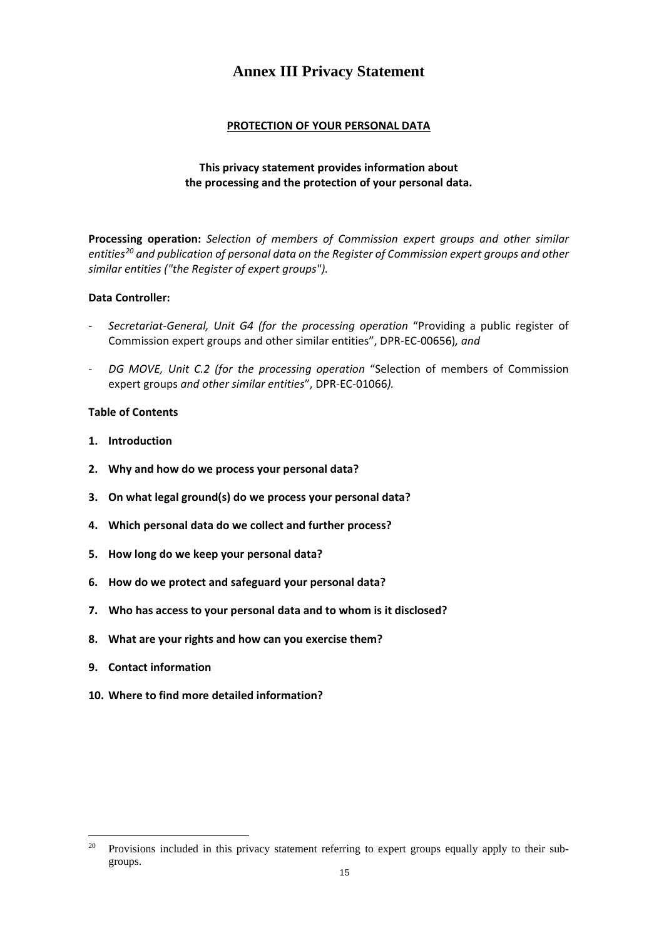# **Annex III Privacy Statement**

### **PROTECTION OF YOUR PERSONAL DATA**

#### **This privacy statement provides information about the processing and the protection of your personal data.**

**Processing operation:** *Selection of members of Commission expert groups and other similar entities[20](#page-14-0) and publication of personal data on the Register of Commission expert groups and other similar entities ("the Register of expert groups").*

#### **Data Controller:**

- *Secretariat-General, Unit G4 (for the processing operation* "Providing a public register of Commission expert groups and other similar entities", DPR-EC-00656)*, and*
- *DG MOVE, Unit C.2 (for the processing operation* "Selection of members of Commission expert groups *and other similar entities*", DPR-EC-01066*).*

#### **Table of Contents**

- **1. Introduction**
- **2. Why and how do we process your personal data?**
- **3. On what legal ground(s) do we process your personal data?**
- **4. Which personal data do we collect and further process?**
- **5. How long do we keep your personal data?**
- **6. How do we protect and safeguard your personal data?**
- **7. Who has access to your personal data and to whom is it disclosed?**
- **8. What are your rights and how can you exercise them?**
- **9. Contact information**
- **10. Where to find more detailed information?**

<span id="page-14-0"></span><sup>&</sup>lt;sup>20</sup> Provisions included in this privacy statement referring to expert groups equally apply to their subgroups.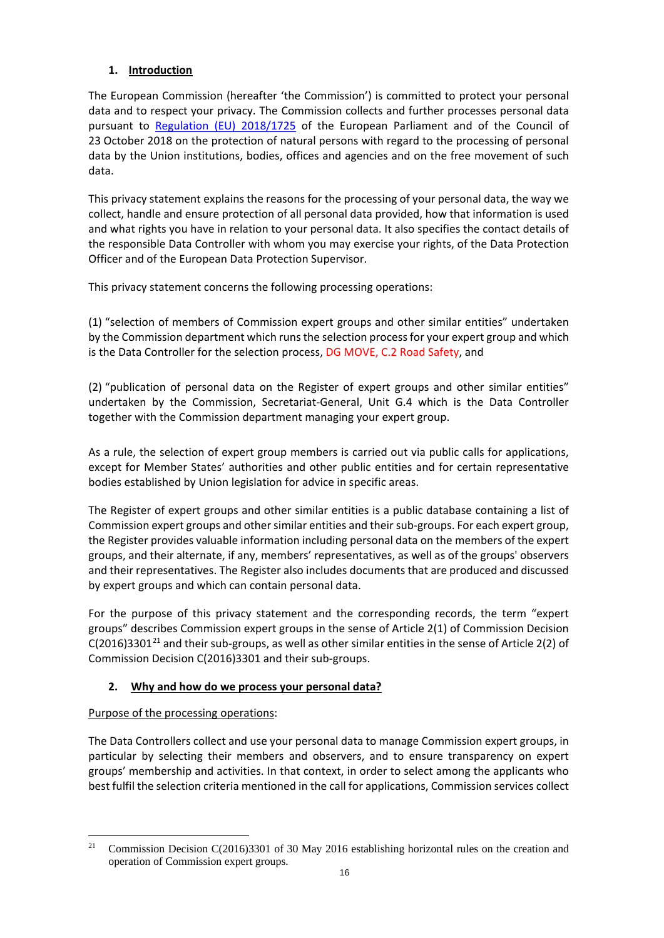# **1. Introduction**

The European Commission (hereafter 'the Commission') is committed to protect your personal data and to respect your privacy. The Commission collects and further processes personal data pursuant to [Regulation \(EU\) 2018/1725](https://eur-lex.europa.eu/legal-content/EN/TXT/?uri=uriserv:OJ.L_.2018.295.01.0039.01.ENG&toc=OJ:L:2018:295:TOC) of the European Parliament and of the Council of 23 October 2018 on the protection of natural persons with regard to the processing of personal data by the Union institutions, bodies, offices and agencies and on the free movement of such data.

This privacy statement explains the reasons for the processing of your personal data, the way we collect, handle and ensure protection of all personal data provided, how that information is used and what rights you have in relation to your personal data. It also specifies the contact details of the responsible Data Controller with whom you may exercise your rights, of the Data Protection Officer and of the European Data Protection Supervisor.

This privacy statement concerns the following processing operations:

(1) "selection of members of Commission expert groups and other similar entities" undertaken by the Commission department which runs the selection process for your expert group and which is the Data Controller for the selection process, DG MOVE, C.2 Road Safety, and

(2) "publication of personal data on the Register of expert groups and other similar entities" undertaken by the Commission, Secretariat-General, Unit G.4 which is the Data Controller together with the Commission department managing your expert group.

As a rule, the selection of expert group members is carried out via public calls for applications, except for Member States' authorities and other public entities and for certain representative bodies established by Union legislation for advice in specific areas.

The Register of expert groups and other similar entities is a public database containing a list of Commission expert groups and other similar entities and their sub-groups. For each expert group, the Register provides valuable information including personal data on the members of the expert groups, and their alternate, if any, members' representatives, as well as of the groups' observers and their representatives. The Register also includes documents that are produced and discussed by expert groups and which can contain personal data.

For the purpose of this privacy statement and the corresponding records, the term "expert groups" describes Commission expert groups in the sense of Article 2(1) of Commission Decision  $C(2016)3301^{21}$  $C(2016)3301^{21}$  $C(2016)3301^{21}$  and their sub-groups, as well as other similar entities in the sense of Article 2(2) of Commission Decision C(2016)3301 and their sub-groups.

# **2. Why and how do we process your personal data?**

### Purpose of the processing operations:

The Data Controllers collect and use your personal data to manage Commission expert groups, in particular by selecting their members and observers, and to ensure transparency on expert groups' membership and activities. In that context, in order to select among the applicants who best fulfil the selection criteria mentioned in the call for applications, Commission services collect

<span id="page-15-0"></span><sup>&</sup>lt;sup>21</sup> Commission Decision C(2016)3301 of 30 May 2016 establishing horizontal rules on the creation and operation of Commission expert groups.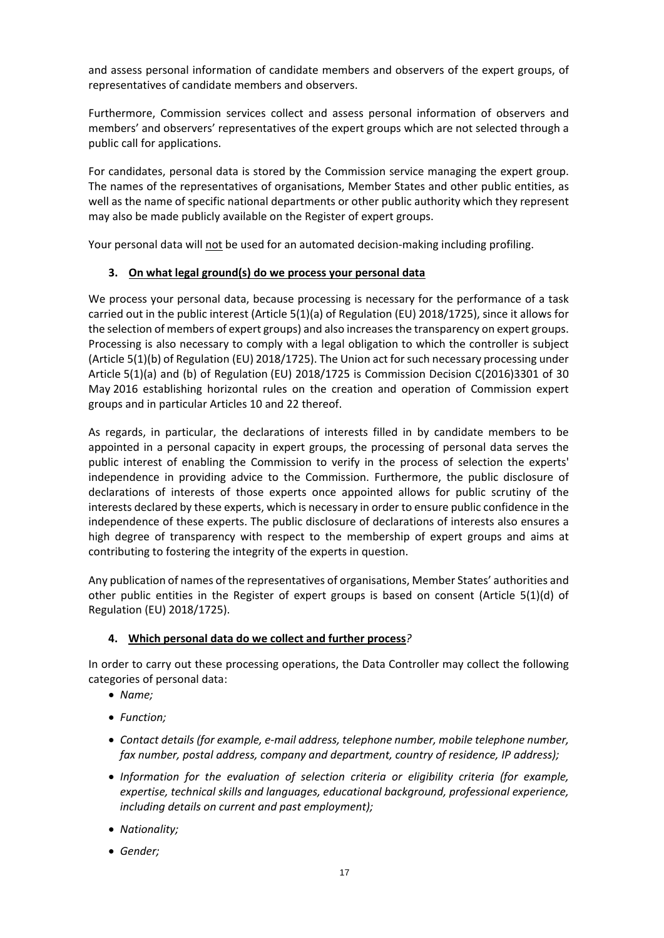and assess personal information of candidate members and observers of the expert groups, of representatives of candidate members and observers.

Furthermore, Commission services collect and assess personal information of observers and members' and observers' representatives of the expert groups which are not selected through a public call for applications.

For candidates, personal data is stored by the Commission service managing the expert group. The names of the representatives of organisations, Member States and other public entities, as well as the name of specific national departments or other public authority which they represent may also be made publicly available on the Register of expert groups.

Your personal data will not be used for an automated decision-making including profiling.

#### **3. On what legal ground(s) do we process your personal data**

We process your personal data, because processing is necessary for the performance of a task carried out in the public interest (Article 5(1)(a) of Regulation (EU) 2018/1725), since it allows for the selection of members of expert groups) and also increases the transparency on expert groups. Processing is also necessary to comply with a legal obligation to which the controller is subject (Article 5(1)(b) of Regulation (EU) 2018/1725). The Union act for such necessary processing under Article 5(1)(a) and (b) of Regulation (EU) 2018/1725 is Commission Decision C(2016)3301 of 30 May 2016 establishing horizontal rules on the creation and operation of Commission expert groups and in particular Articles 10 and 22 thereof.

As regards, in particular, the declarations of interests filled in by candidate members to be appointed in a personal capacity in expert groups, the processing of personal data serves the public interest of enabling the Commission to verify in the process of selection the experts' independence in providing advice to the Commission. Furthermore, the public disclosure of declarations of interests of those experts once appointed allows for public scrutiny of the interests declared by these experts, which is necessary in order to ensure public confidence in the independence of these experts. The public disclosure of declarations of interests also ensures a high degree of transparency with respect to the membership of expert groups and aims at contributing to fostering the integrity of the experts in question.

Any publication of names of the representatives of organisations, Member States' authorities and other public entities in the Register of expert groups is based on consent (Article 5(1)(d) of Regulation (EU) 2018/1725).

### **4. Which personal data do we collect and further process***?*

In order to carry out these processing operations, the Data Controller may collect the following categories of personal data:

- *Name;*
- *Function;*
- *Contact details (for example, e-mail address, telephone number, mobile telephone number, fax number, postal address, company and department, country of residence, IP address);*
- *Information for the evaluation of selection criteria or eligibility criteria (for example, expertise, technical skills and languages, educational background, professional experience, including details on current and past employment);*
- *Nationality;*
- *Gender;*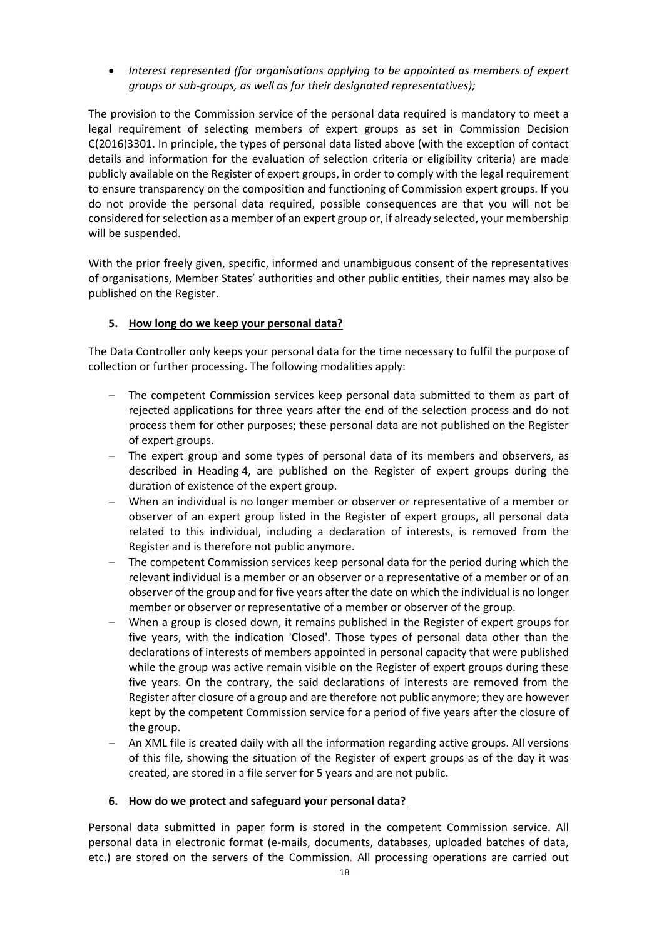• *Interest represented (for organisations applying to be appointed as members of expert groups or sub-groups, as well as for their designated representatives);*

The provision to the Commission service of the personal data required is mandatory to meet a legal requirement of selecting members of expert groups as set in Commission Decision C(2016)3301. In principle, the types of personal data listed above (with the exception of contact details and information for the evaluation of selection criteria or eligibility criteria) are made publicly available on the Register of expert groups, in order to comply with the legal requirement to ensure transparency on the composition and functioning of Commission expert groups. If you do not provide the personal data required, possible consequences are that you will not be considered for selection as a member of an expert group or, if already selected, your membership will be suspended.

With the prior freely given, specific, informed and unambiguous consent of the representatives of organisations, Member States' authorities and other public entities, their names may also be published on the Register.

#### **5. How long do we keep your personal data?**

The Data Controller only keeps your personal data for the time necessary to fulfil the purpose of collection or further processing. The following modalities apply:

- The competent Commission services keep personal data submitted to them as part of rejected applications for three years after the end of the selection process and do not process them for other purposes; these personal data are not published on the Register of expert groups.
- − The expert group and some types of personal data of its members and observers, as described in Heading 4, are published on the Register of expert groups during the duration of existence of the expert group.
- − When an individual is no longer member or observer or representative of a member or observer of an expert group listed in the Register of expert groups, all personal data related to this individual, including a declaration of interests, is removed from the Register and is therefore not public anymore.
- The competent Commission services keep personal data for the period during which the relevant individual is a member or an observer or a representative of a member or of an observer of the group and for five years after the date on which the individual is no longer member or observer or representative of a member or observer of the group.
- − When a group is closed down, it remains published in the Register of expert groups for five years, with the indication 'Closed'. Those types of personal data other than the declarations of interests of members appointed in personal capacity that were published while the group was active remain visible on the Register of expert groups during these five years. On the contrary, the said declarations of interests are removed from the Register after closure of a group and are therefore not public anymore; they are however kept by the competent Commission service for a period of five years after the closure of the group.
- An XML file is created daily with all the information regarding active groups. All versions of this file, showing the situation of the Register of expert groups as of the day it was created, are stored in a file server for 5 years and are not public.

#### **6. How do we protect and safeguard your personal data?**

Personal data submitted in paper form is stored in the competent Commission service. All personal data in electronic format (e-mails, documents, databases, uploaded batches of data, etc.) are stored on the servers of the Commission*.* All processing operations are carried out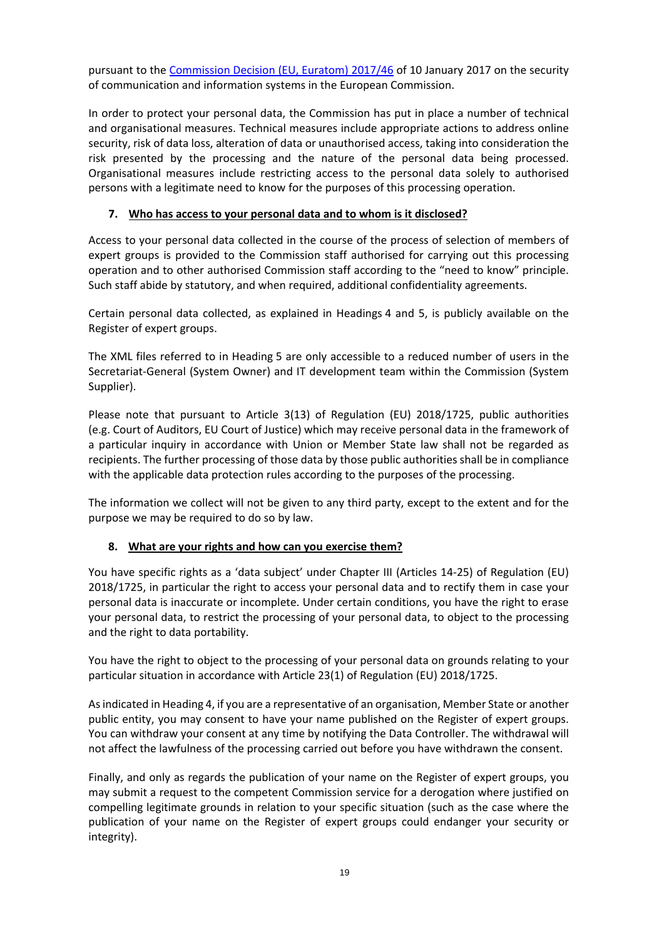pursuant to the [Commission Decision \(EU, Euratom\) 2017/46](https://eur-lex.europa.eu/legal-content/EN/TXT/?qid=1548093747090&uri=CELEX:32017D0046) of 10 January 2017 on the security of communication and information systems in the European Commission.

In order to protect your personal data, the Commission has put in place a number of technical and organisational measures. Technical measures include appropriate actions to address online security, risk of data loss, alteration of data or unauthorised access, taking into consideration the risk presented by the processing and the nature of the personal data being processed. Organisational measures include restricting access to the personal data solely to authorised persons with a legitimate need to know for the purposes of this processing operation.

### **7. Who has access to your personal data and to whom is it disclosed?**

Access to your personal data collected in the course of the process of selection of members of expert groups is provided to the Commission staff authorised for carrying out this processing operation and to other authorised Commission staff according to the "need to know" principle. Such staff abide by statutory, and when required, additional confidentiality agreements.

Certain personal data collected, as explained in Headings 4 and 5, is publicly available on the Register of expert groups.

The XML files referred to in Heading 5 are only accessible to a reduced number of users in the Secretariat-General (System Owner) and IT development team within the Commission (System Supplier).

Please note that pursuant to Article 3(13) of Regulation (EU) 2018/1725, public authorities (e.g. Court of Auditors, EU Court of Justice) which may receive personal data in the framework of a particular inquiry in accordance with Union or Member State law shall not be regarded as recipients. The further processing of those data by those public authorities shall be in compliance with the applicable data protection rules according to the purposes of the processing.

The information we collect will not be given to any third party, except to the extent and for the purpose we may be required to do so by law.

#### **8. What are your rights and how can you exercise them?**

You have specific rights as a 'data subject' under Chapter III (Articles 14-25) of Regulation (EU) 2018/1725, in particular the right to access your personal data and to rectify them in case your personal data is inaccurate or incomplete. Under certain conditions, you have the right to erase your personal data, to restrict the processing of your personal data, to object to the processing and the right to data portability.

You have the right to object to the processing of your personal data on grounds relating to your particular situation in accordance with Article 23(1) of Regulation (EU) 2018/1725.

As indicated in Heading 4, if you are a representative of an organisation, Member State or another public entity, you may consent to have your name published on the Register of expert groups. You can withdraw your consent at any time by notifying the Data Controller. The withdrawal will not affect the lawfulness of the processing carried out before you have withdrawn the consent.

Finally, and only as regards the publication of your name on the Register of expert groups, you may submit a request to the competent Commission service for a derogation where justified on compelling legitimate grounds in relation to your specific situation (such as the case where the publication of your name on the Register of expert groups could endanger your security or integrity).